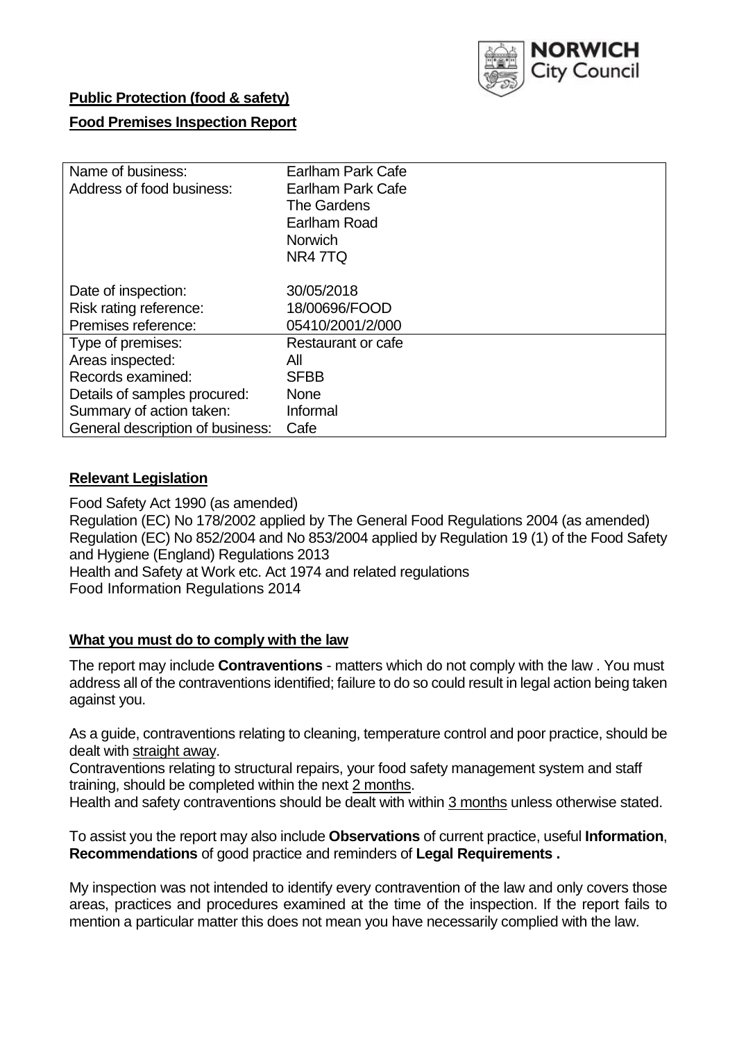

## **Public Protection (food & safety)**

## **Food Premises Inspection Report**

| Name of business:<br>Address of food business: | Earlham Park Cafe<br>Earlham Park Cafe<br>The Gardens<br>Earlham Road<br><b>Norwich</b><br>NR47TQ |
|------------------------------------------------|---------------------------------------------------------------------------------------------------|
| Date of inspection:                            | 30/05/2018                                                                                        |
| Risk rating reference:                         | 18/00696/FOOD                                                                                     |
| Premises reference:                            | 05410/2001/2/000                                                                                  |
| Type of premises:                              | Restaurant or cafe                                                                                |
| Areas inspected:                               | All                                                                                               |
| Records examined:                              | <b>SFBB</b>                                                                                       |
| Details of samples procured:                   | <b>None</b>                                                                                       |
| Summary of action taken:                       | Informal                                                                                          |
| General description of business:               | Cafe                                                                                              |

#### **Relevant Legislation**

Food Safety Act 1990 (as amended) Regulation (EC) No 178/2002 applied by The General Food Regulations 2004 (as amended) Regulation (EC) No 852/2004 and No 853/2004 applied by Regulation 19 (1) of the Food Safety and Hygiene (England) Regulations 2013 Health and Safety at Work etc. Act 1974 and related regulations Food Information Regulations 2014

## **What you must do to comply with the law**

The report may include **Contraventions** - matters which do not comply with the law . You must address all of the contraventions identified; failure to do so could result in legal action being taken against you.

As a guide, contraventions relating to cleaning, temperature control and poor practice, should be dealt with straight away.

Contraventions relating to structural repairs, your food safety management system and staff training, should be completed within the next 2 months.

Health and safety contraventions should be dealt with within 3 months unless otherwise stated.

To assist you the report may also include **Observations** of current practice, useful **Information**, **Recommendations** of good practice and reminders of **Legal Requirements .**

My inspection was not intended to identify every contravention of the law and only covers those areas, practices and procedures examined at the time of the inspection. If the report fails to mention a particular matter this does not mean you have necessarily complied with the law.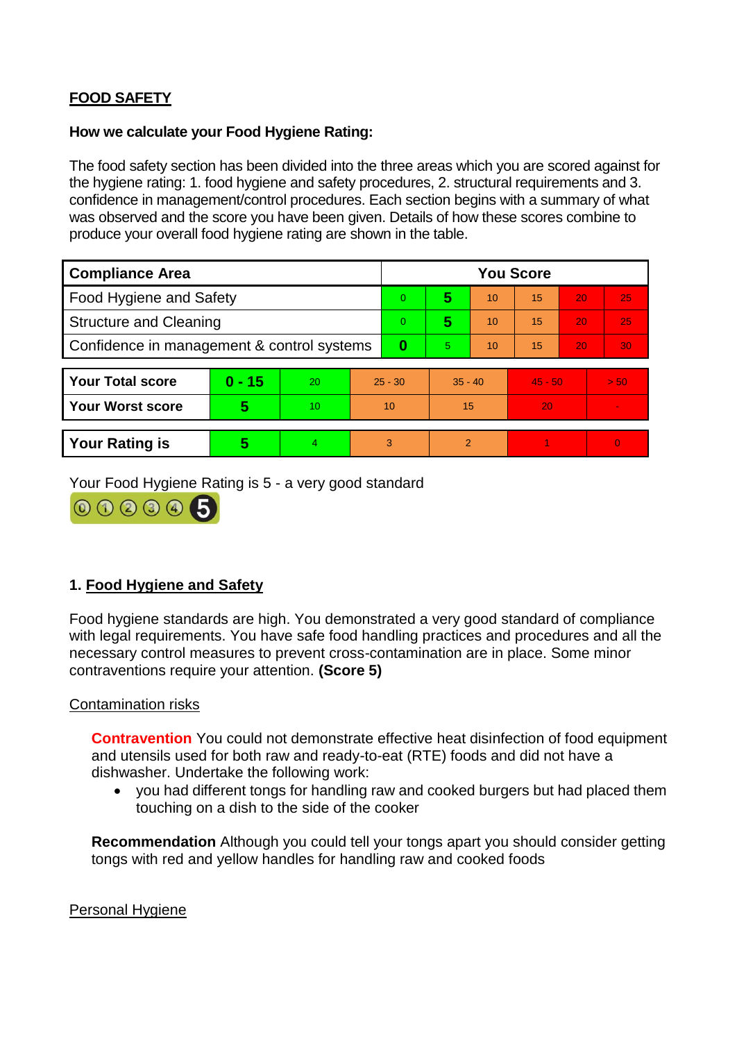# **FOOD SAFETY**

#### **How we calculate your Food Hygiene Rating:**

The food safety section has been divided into the three areas which you are scored against for the hygiene rating: 1. food hygiene and safety procedures, 2. structural requirements and 3. confidence in management/control procedures. Each section begins with a summary of what was observed and the score you have been given. Details of how these scores combine to produce your overall food hygiene rating are shown in the table.

| <b>Compliance Area</b>                     |          |                  |           | <b>You Score</b> |               |    |           |    |          |  |  |
|--------------------------------------------|----------|------------------|-----------|------------------|---------------|----|-----------|----|----------|--|--|
| Food Hygiene and Safety                    |          |                  |           | 0                | 5             | 10 | 15        | 20 | 25       |  |  |
| <b>Structure and Cleaning</b>              |          |                  | $\Omega$  | 5                | 10            | 15 | 20        | 25 |          |  |  |
| Confidence in management & control systems |          |                  | $\bf{0}$  | 5                | 10            | 15 | 20        | 30 |          |  |  |
|                                            |          |                  |           |                  |               |    |           |    |          |  |  |
| <b>Your Total score</b>                    | $0 - 15$ | 20               | $25 - 30$ |                  | $35 - 40$     |    | $45 - 50$ |    | > 50     |  |  |
| <b>Your Worst score</b>                    | 5        | 10 <sup>10</sup> | 10        |                  | 15            |    | 20        |    |          |  |  |
|                                            |          |                  |           |                  |               |    |           |    |          |  |  |
| <b>Your Rating is</b>                      | 5        | 4                | 3         |                  | $\mathcal{P}$ |    |           |    | $\Omega$ |  |  |

Your Food Hygiene Rating is 5 - a very good standard



## **1. Food Hygiene and Safety**

Food hygiene standards are high. You demonstrated a very good standard of compliance with legal requirements. You have safe food handling practices and procedures and all the necessary control measures to prevent cross-contamination are in place. Some minor contraventions require your attention. **(Score 5)**

## Contamination risks

**Contravention** You could not demonstrate effective heat disinfection of food equipment and utensils used for both raw and ready-to-eat (RTE) foods and did not have a dishwasher. Undertake the following work:

 you had different tongs for handling raw and cooked burgers but had placed them touching on a dish to the side of the cooker

**Recommendation** Although you could tell your tongs apart you should consider getting tongs with red and yellow handles for handling raw and cooked foods

Personal Hygiene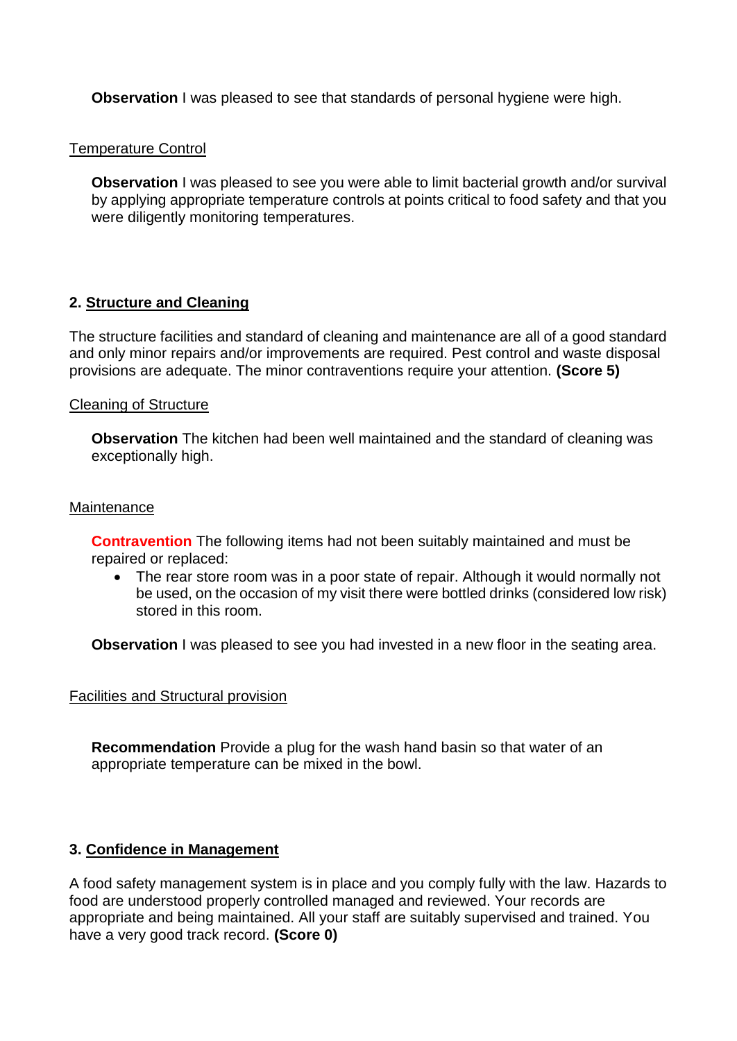**Observation** I was pleased to see that standards of personal hygiene were high.

## Temperature Control

**Observation** I was pleased to see you were able to limit bacterial growth and/or survival by applying appropriate temperature controls at points critical to food safety and that you were diligently monitoring temperatures.

## **2. Structure and Cleaning**

The structure facilities and standard of cleaning and maintenance are all of a good standard and only minor repairs and/or improvements are required. Pest control and waste disposal provisions are adequate. The minor contraventions require your attention. **(Score 5)**

#### Cleaning of Structure

**Observation** The kitchen had been well maintained and the standard of cleaning was exceptionally high.

#### **Maintenance**

**Contravention** The following items had not been suitably maintained and must be repaired or replaced:

• The rear store room was in a poor state of repair. Although it would normally not be used, on the occasion of my visit there were bottled drinks (considered low risk) stored in this room.

**Observation** I was pleased to see you had invested in a new floor in the seating area.

#### Facilities and Structural provision

**Recommendation** Provide a plug for the wash hand basin so that water of an appropriate temperature can be mixed in the bowl.

## **3. Confidence in Management**

A food safety management system is in place and you comply fully with the law. Hazards to food are understood properly controlled managed and reviewed. Your records are appropriate and being maintained. All your staff are suitably supervised and trained. You have a very good track record. **(Score 0)**